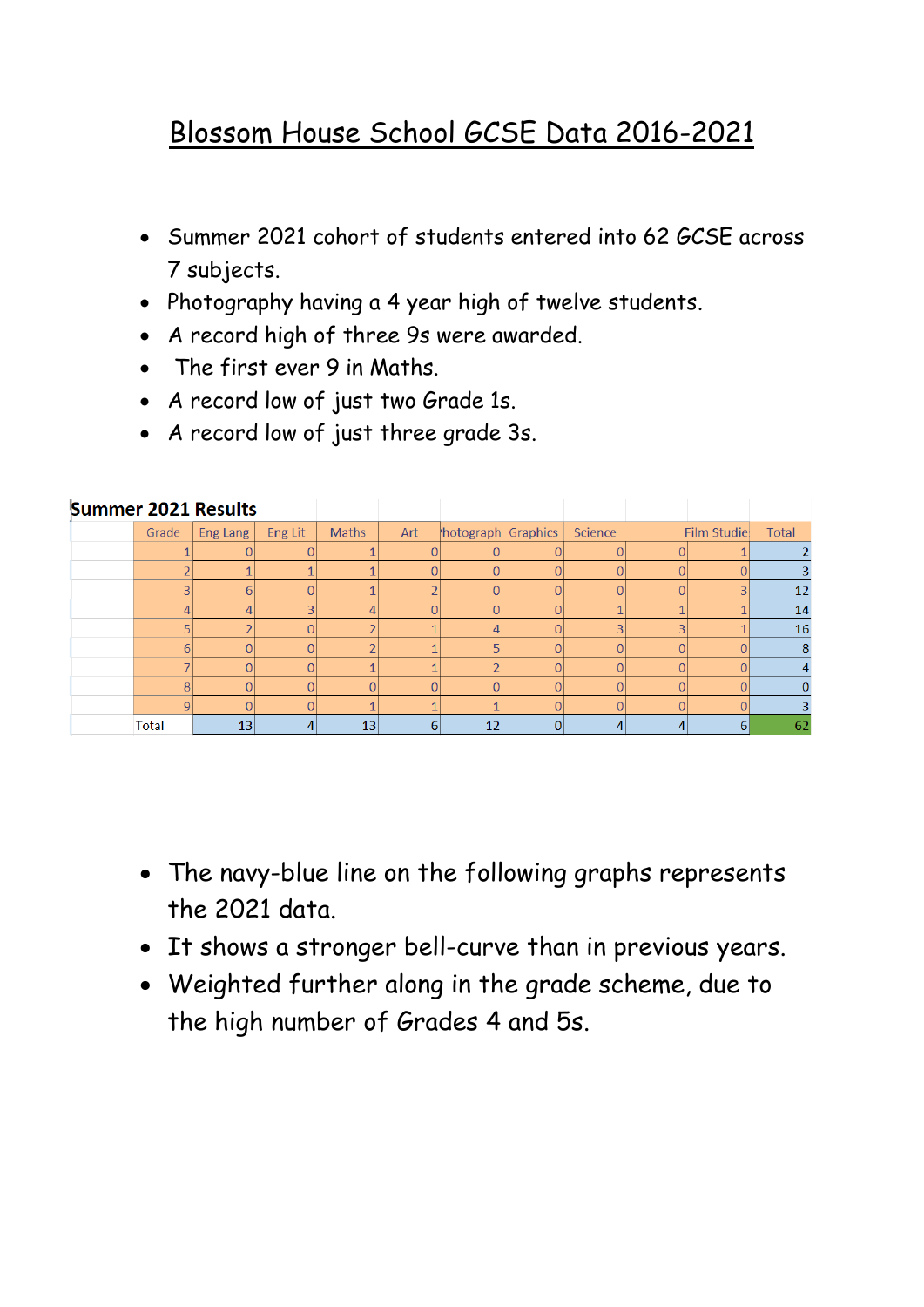## Blossom House School GCSE Data 2016-2021

- Summer 2021 cohort of students entered into 62 GCSE across 7 subjects.
- Photography having a 4 year high of twelve students.
- A record high of three 9s were awarded.
- The first ever 9 in Maths.
- A record low of just two Grade 1s.
- A record low of just three grade 3s.

| Summer 2021 Results |                |                 |                |              |     |                    |   |          |   |                |              |
|---------------------|----------------|-----------------|----------------|--------------|-----|--------------------|---|----------|---|----------------|--------------|
|                     | Grade          | <b>Eng Lang</b> | Eng Lit        | <b>Maths</b> | Art | hotograph Graphics |   | Science  |   | Film Studie    | <b>Total</b> |
|                     |                |                 | $\Omega$       |              |     |                    |   |          |   |                |              |
|                     |                |                 |                |              |     | $\Omega$           |   |          |   |                |              |
|                     | $\overline{3}$ | 6               | $\overline{0}$ |              |     | O                  |   |          | N | 3              | 12           |
|                     | 4              | 4               | 3              | 4            |     | $\Omega$           |   |          |   |                | 14           |
|                     | E.             |                 | $\Omega$       | ¬            |     |                    |   | 3        | 3 |                | 16           |
|                     | 6              |                 | $\Omega$       |              |     |                    |   | $\Omega$ | n |                | 8            |
|                     |                |                 | $\overline{0}$ |              |     |                    |   |          |   |                |              |
|                     | 8              |                 | 0              | 0            |     |                    |   |          |   |                |              |
|                     | $\overline{9}$ |                 | $\Omega$       |              |     |                    |   |          |   |                |              |
|                     | <b>Total</b>   | 13              | 4              | 13           | 6   | 12                 | 0 |          | 4 | 6 <sup>1</sup> | 62           |

- The navy-blue line on the following graphs represents the 2021 data.
- It shows a stronger bell-curve than in previous years.
- Weighted further along in the grade scheme, due to the high number of Grades 4 and 5s.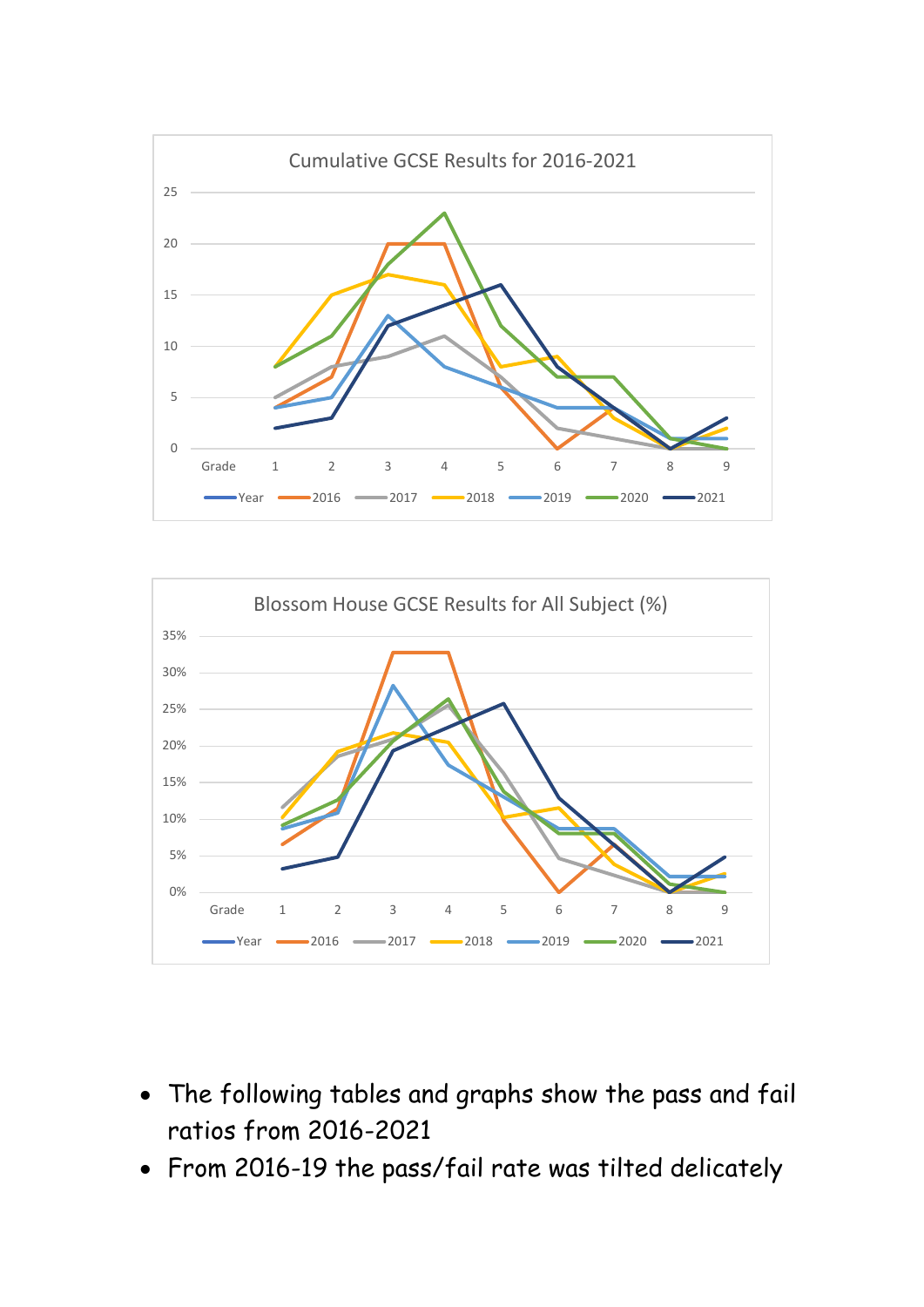



- The following tables and graphs show the pass and fail ratios from 2016-2021
- From 2016-19 the pass/fail rate was tilted delicately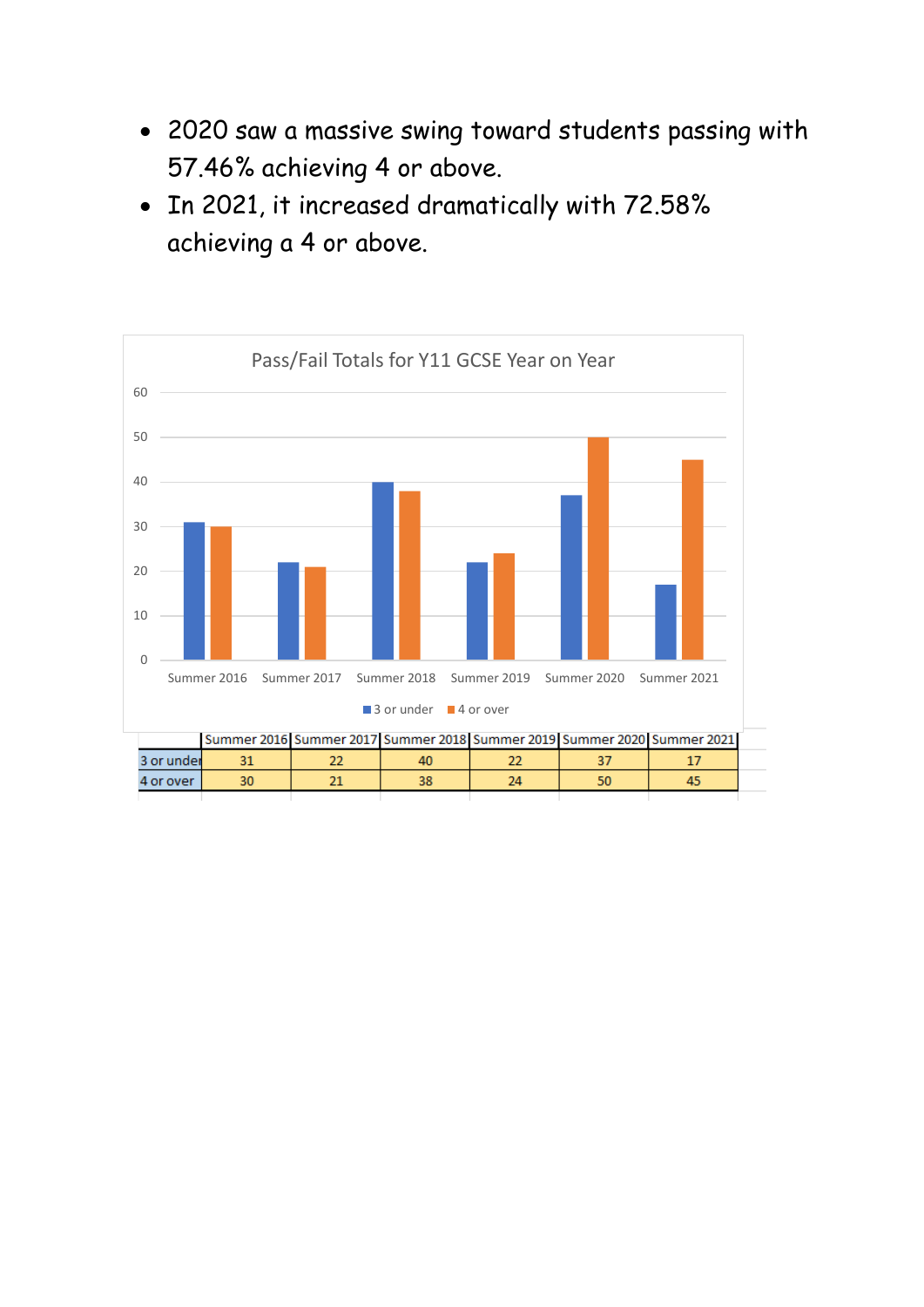- 2020 saw a massive swing toward students passing with 57.46% achieving 4 or above.
- In 2021, it increased dramatically with 72.58% achieving a 4 or above.